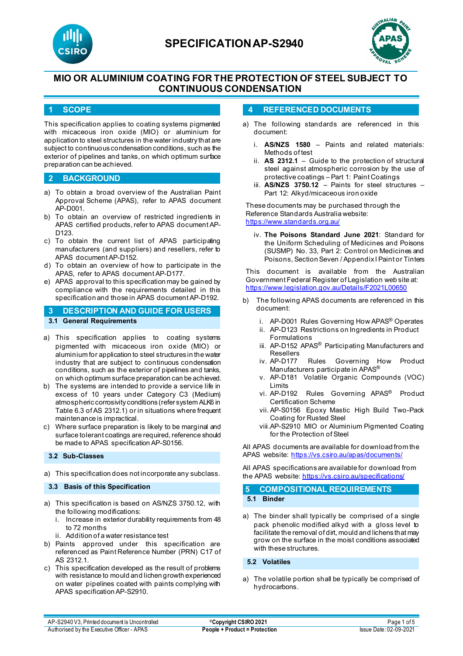



## **MIO OR ALUMINIUM COATING FOR THE PROTECTION OF STEEL SUBJECT TO CONTINUOUS CONDENSATION**

### **1 SCOPE**

This specification applies to coating systems pigmented with micaceous iron oxide (MIO) or aluminium for application to steel structures in the water industry that are subject to continuous condensation conditions, such as the exterior of pipelines and tanks, on which optimum surface preparation can be achieved.

#### **2 BACKGROUND**

- a) To obtain a broad overview of the Australian Paint Approval Scheme (APAS), refer to APAS document AP-D001.
- b) To obtain an overview of restricted ingredients in APAS certified products, refer to APAS document AP-D123.
- c) To obtain the current list of APAS participating manufacturers (and suppliers) and resellers, refer to APAS document AP-D152.
- d) To obtain an overview of how to participate in the APAS, refer to APAS document AP-D177.
- e) APAS approval to this specification may be gained by compliance with the requirements detailed in this specification and those in APAS document AP-D192.

## **3 DESCRIPTION AND GUIDE FOR USERS 3.1 General Requirements**

- a) This specification applies to coating systems pigmented with micaceous iron oxide (MIO) or aluminium for application to steel structures in the water industry that are subject to continuous condensation conditions, such as the exterior of pipelines and tanks, on which optimum surface preparation can be achieved.
- b) The systems are intended to provide a service life in excess of 10 years under Category C3 (Medium) atmospheric corrosivity conditions (refer system ALK6 in Table 6.3 of AS 2312.1) or in situations where frequent maintenance is impractical.
- c) Where surface preparation is likely to be marginal and surface tolerant coatings are required, reference should be made to APAS specification AP-S0156.

#### **3.2 Sub-Classes**

a) This specification does not incorporate any subclass.

#### **3.3 Basis of this Specification**

- a) This specification is based on AS/NZS 3750.12, with the following modifications:
	- Increase in exterior durability requirements from 48 to 72 months
	- ii. Addition of a water resistance test
- b) Paints approved under this specification are referenced as Paint Reference Number (PRN) C17 of AS 2312.1.
- c) This specification developed as the result of problems with resistance to mould and lichen growth experienced on water pipelines coated with paints complying with APAS specification AP-S2910.

#### **4 REFERENCED DOCUMENTS**

- a) The following standards are referenced in this document:
	- i. **AS/NZS 1580** Paints and related materials: Methods of test
	- ii. **AS 2312.1** Guide to the protection of structural steel against atmospheric corrosion by the use of protective coatings – Part 1: Paint Coatings
	- iii. **AS/NZS 3750.12** Paints for steel structures Part 12: Alkyd/micaceous iron oxide

These documents may be purchased through the Reference Standards Australia website: <https://www.standards.org.au/>

iv. **The Poisons Standard June 2021**: Standard for the Uniform Scheduling of Medicines and Poisons (SUSMP) No. 33, Part 2: Control on Medicines and Poisons, Section Seven / Appendix I Paint or Tinters

This document is available from the Australian Government Federal Register of Legislation web site at: <https://www.legislation.gov.au/Details/F2021L00650>

- b) The following APAS documents are referenced in this document:
	- i. AP-D001 Rules Governing How APAS® Operates
	- ii. AP-D123 Restrictions on Ingredients in Product Formulations
	- iii. AP-D152 APAS<sup>®</sup> Participating Manufacturers and Resellers<br>iv. AP-D177
	- Rules Governing How Product Manufacturers participate in APAS®
	- v. AP-D181 Volatile Organic Compounds (VOC) Limits
	- vi. AP-D192 Rules Governing APAS® Product Certification Scheme
	- vii. AP-S0156 Epoxy Mastic High Build Two-Pack Coating for Rusted Steel
	- viii.AP-S2910 MIO or Aluminium Pigmented Coating for the Protection of Steel

All APAS documents are available for download from the APAS website: <https://vs.csiro.au/apas/documents/>

All APAS specifications are available for download from the APAS website: <https://vs.csiro.au/specifications/>

**5 COMPOSITIONAL REQUIREMENTS**

**5.1 Binder**

a) The binder shall typically be comprised of a single pack phenolic modified alkyd with a gloss level to facilitate the removal of dirt, mould and lichens that may grow on the surface in the moist conditions associated with these structures.

#### **5.2 Volatiles**

a) The volatile portion shall be typically be comprised of hydrocarbons.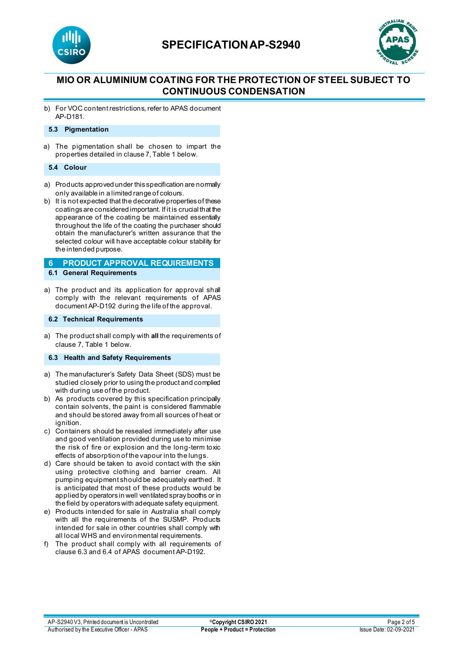

## **SPECIFICATIONAP-S2940**



## **MIO OR ALUMINIUM COATING FOR THE PROTECTION OF STEEL SUBJECT TO CONTINUOUS CONDENSATION**

b) For VOC content restrictions, refer to APAS document AP-D181.

#### **5.3 Pigmentation**

a) The pigmentation shall be chosen to impart the properties detailed in clause 7, Table 1 below.

#### **5.4 Colour**

- a) Products approved under this specification are normally only available in a limited range of colours.
- b) It is not expected that the decorative properties of these coatings are considered important. If it is crucial that the appearance of the coating be maintained essentially throughout the life of the coating the purchaser should obtain the manufacturer's written assurance that the selected colour will have acceptable colour stability for the intended purpose.

#### **6 PRODUCT APPROVAL REQUIREMENTS 6.1 General Requirements**

a) The product and its application for approval shall comply with the relevant requirements of APAS document AP-D192 during the life of the approval.

#### **6.2 Technical Requirements**

a) The product shall comply with **all** the requirements of clause 7, Table 1 below.

#### **6.3 Health and Safety Requirements**

- a) The manufacturer's Safety Data Sheet (SDS) must be studied closely prior to using the product and complied with during use of the product.
- b) As products covered by this specification principally contain solvents, the paint is considered flammable and should be stored away from all sources of heat or ignition.
- c) Containers should be resealed immediately after use and good ventilation provided during use to minimise the risk of fire or explosion and the long-term toxic effects of absorption of the vapour into the lungs.
- d) Care should be taken to avoid contact with the skin using protective clothing and barrier cream. All pumping equipment should be adequately earthed. It is anticipated that most of these products would be applied by operators in well ventilated spray booths or in the field by operators with adequate safety equipment.
- e) Products intended for sale in Australia shall comply with all the requirements of the SUSMP. Products intended for sale in other countries shall comply with all local WHS and environmental requirements.
- f) The product shall comply with all requirements of clause 6.3 and 6.4 of APAS document AP-D192.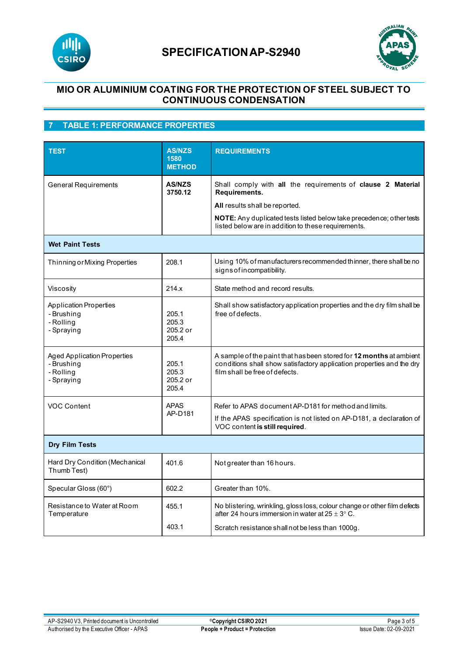



## **MIO OR ALUMINIUM COATING FOR THE PROTECTION OF STEEL SUBJECT TO CONTINUOUS CONDENSATION**

## **7 TABLE 1: PERFORMANCE PROPERTIES**

| <b>TEST</b>                                                                 | <b>AS/NZS</b><br>1580<br><b>METHOD</b> | <b>REQUIREMENTS</b>                                                                                                                                                            |  |  |
|-----------------------------------------------------------------------------|----------------------------------------|--------------------------------------------------------------------------------------------------------------------------------------------------------------------------------|--|--|
| <b>General Requirements</b>                                                 | <b>AS/NZS</b><br>3750.12               | Shall comply with all the requirements of clause 2 Material<br>Requirements.                                                                                                   |  |  |
|                                                                             |                                        | All results shall be reported.                                                                                                                                                 |  |  |
|                                                                             |                                        | NOTE: Any duplicated tests listed below take precedence; other tests<br>listed below are in addition to these requirements.                                                    |  |  |
| <b>Wet Paint Tests</b>                                                      |                                        |                                                                                                                                                                                |  |  |
| Thinning or Mixing Properties                                               | 208.1                                  | Using 10% of manufacturers recommended thinner, there shall be no<br>signs of incompatibility.                                                                                 |  |  |
| Viscosity                                                                   | 214.x                                  | State method and record results.                                                                                                                                               |  |  |
| <b>Application Properties</b><br>- Brushing<br>- Rolling<br>- Spraying      | 205.1<br>205.3<br>205.2 or<br>205.4    | Shall show satisfactory application properties and the dry film shall be<br>free of defects.                                                                                   |  |  |
| <b>Aged Application Properties</b><br>- Brushing<br>- Rolling<br>- Spraying | 205.1<br>205.3<br>205.2 or<br>205.4    | A sample of the paint that has been stored for 12 months at ambient<br>conditions shall show satisfactory application properties and the dry<br>film shall be free of defects. |  |  |
| <b>VOC Content</b>                                                          | <b>APAS</b><br>AP-D181                 | Refer to APAS document AP-D181 for method and limits.                                                                                                                          |  |  |
|                                                                             |                                        | If the APAS specification is not listed on AP-D181, a declaration of<br>VOC content is still required.                                                                         |  |  |
| <b>Dry Film Tests</b>                                                       |                                        |                                                                                                                                                                                |  |  |
| Hard Dry Condition (Mechanical<br>Thumb Test)                               | 401.6                                  | Not greater than 16 hours.                                                                                                                                                     |  |  |
| Specular Gloss (60°)                                                        | 602.2                                  | Greater than 10%.                                                                                                                                                              |  |  |
| Resistance to Water at Room<br>Temperature                                  | 455.1                                  | No blistering, wrinkling, gloss loss, colour change or other film defects<br>after 24 hours immersion in water at $25 \pm 3^{\circ}$ C.                                        |  |  |
|                                                                             | 403.1                                  | Scratch resistance shall not be less than 1000g.                                                                                                                               |  |  |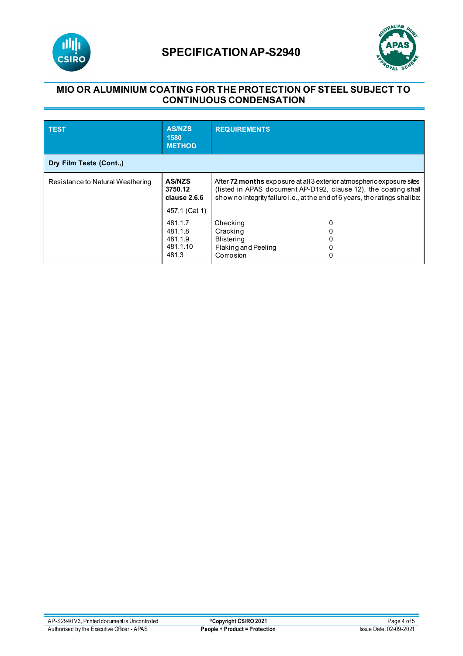

# **SPECIFICATIONAP-S2940**



## **MIO OR ALUMINIUM COATING FOR THE PROTECTION OF STEEL SUBJECT TO CONTINUOUS CONDENSATION**

| <b>TEST</b>                      | <b>AS/NZS</b><br>1580<br><b>METHOD</b>             | <b>REQUIREMENTS</b>                                                                                                                                                                                                      |  |  |
|----------------------------------|----------------------------------------------------|--------------------------------------------------------------------------------------------------------------------------------------------------------------------------------------------------------------------------|--|--|
| Dry Film Tests (Cont.,)          |                                                    |                                                                                                                                                                                                                          |  |  |
| Resistance to Natural Weathering | <b>AS/NZS</b><br>3750.12<br>clause 2.6.6           | After 72 months exposure at all 3 exterior atmospheric exposure sites<br>(listed in APAS document AP-D192, clause 12), the coating shall<br>show no integrity failure i.e., at the end of 6 years, the ratings shall be: |  |  |
|                                  | 457.1 (Cat 1)                                      |                                                                                                                                                                                                                          |  |  |
|                                  | 481.1.7<br>481.1.8<br>481.1.9<br>481.1.10<br>481.3 | Checking<br>0<br>Cracking<br><b>Blistering</b><br>Flaking and Peeling<br>Corrosion<br>0                                                                                                                                  |  |  |